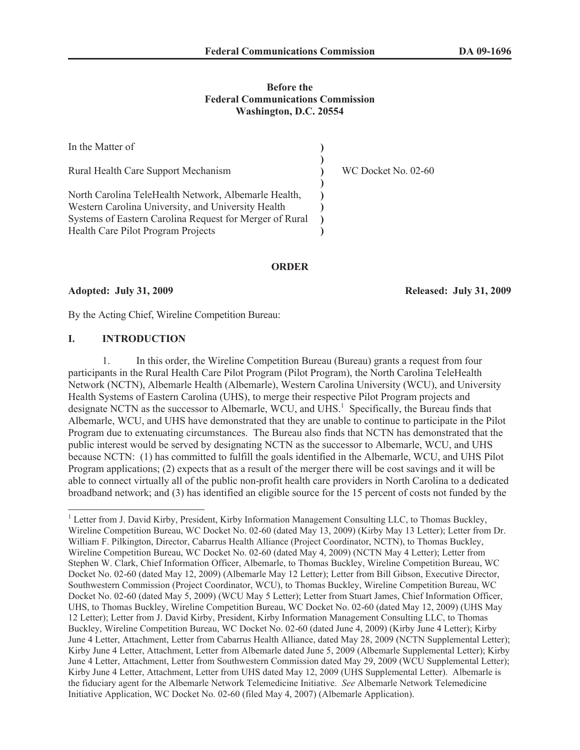### **Before the Federal Communications Commission Washington, D.C. 20554**

| In the Matter of                                                                                                                                                                                            |                     |
|-------------------------------------------------------------------------------------------------------------------------------------------------------------------------------------------------------------|---------------------|
| Rural Health Care Support Mechanism                                                                                                                                                                         | WC Docket No. 02-60 |
| North Carolina TeleHealth Network, Albemarle Health,<br>Western Carolina University, and University Health<br>Systems of Eastern Carolina Request for Merger of Rural<br>Health Care Pilot Program Projects |                     |

#### **ORDER**

**Adopted: July 31, 2009 Released: July 31, 2009**

By the Acting Chief, Wireline Competition Bureau:

### **I. INTRODUCTION**

1. In this order, the Wireline Competition Bureau (Bureau) grants a request from four participants in the Rural Health Care Pilot Program (Pilot Program), the North Carolina TeleHealth Network (NCTN), Albemarle Health (Albemarle), Western Carolina University (WCU), and University Health Systems of Eastern Carolina (UHS), to merge their respective Pilot Program projects and designate NCTN as the successor to Albemarle, WCU, and UHS.<sup>1</sup> Specifically, the Bureau finds that Albemarle, WCU, and UHS have demonstrated that they are unable to continue to participate in the Pilot Program due to extenuating circumstances. The Bureau also finds that NCTN has demonstrated that the public interest would be served by designating NCTN as the successor to Albemarle, WCU, and UHS because NCTN: (1) has committed to fulfill the goals identified in the Albemarle, WCU, and UHS Pilot Program applications; (2) expects that as a result of the merger there will be cost savings and it will be able to connect virtually all of the public non-profit health care providers in North Carolina to a dedicated broadband network; and (3) has identified an eligible source for the 15 percent of costs not funded by the

<sup>&</sup>lt;sup>1</sup> Letter from J. David Kirby, President, Kirby Information Management Consulting LLC, to Thomas Buckley, Wireline Competition Bureau, WC Docket No. 02-60 (dated May 13, 2009) (Kirby May 13 Letter); Letter from Dr. William F. Pilkington, Director, Cabarrus Health Alliance (Project Coordinator, NCTN), to Thomas Buckley, Wireline Competition Bureau, WC Docket No. 02-60 (dated May 4, 2009) (NCTN May 4 Letter); Letter from Stephen W. Clark, Chief Information Officer, Albemarle, to Thomas Buckley, Wireline Competition Bureau, WC Docket No. 02-60 (dated May 12, 2009) (Albemarle May 12 Letter); Letter from Bill Gibson, Executive Director, Southwestern Commission (Project Coordinator, WCU), to Thomas Buckley, Wireline Competition Bureau, WC Docket No. 02-60 (dated May 5, 2009) (WCU May 5 Letter); Letter from Stuart James, Chief Information Officer, UHS, to Thomas Buckley, Wireline Competition Bureau, WC Docket No. 02-60 (dated May 12, 2009) (UHS May 12 Letter); Letter from J. David Kirby, President, Kirby Information Management Consulting LLC, to Thomas Buckley, Wireline Competition Bureau, WC Docket No. 02-60 (dated June 4, 2009) (Kirby June 4 Letter); Kirby June 4 Letter, Attachment, Letter from Cabarrus Health Alliance, dated May 28, 2009 (NCTN Supplemental Letter); Kirby June 4 Letter, Attachment, Letter from Albemarle dated June 5, 2009 (Albemarle Supplemental Letter); Kirby June 4 Letter, Attachment, Letter from Southwestern Commission dated May 29, 2009 (WCU Supplemental Letter); Kirby June 4 Letter, Attachment, Letter from UHS dated May 12, 2009 (UHS Supplemental Letter). Albemarle is the fiduciary agent for the Albemarle Network Telemedicine Initiative. *See* Albemarle Network Telemedicine Initiative Application, WC Docket No. 02-60 (filed May 4, 2007) (Albemarle Application).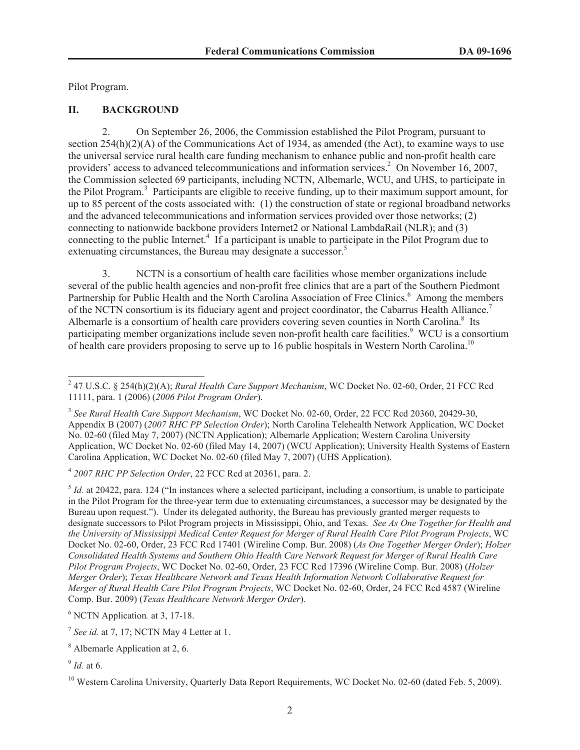Pilot Program.

# **II. BACKGROUND**

2. On September 26, 2006, the Commission established the Pilot Program, pursuant to section 254(h)(2)(A) of the Communications Act of 1934, as amended (the Act), to examine ways to use the universal service rural health care funding mechanism to enhance public and non-profit health care providers' access to advanced telecommunications and information services.<sup>2</sup> On November 16, 2007, the Commission selected 69 participants, including NCTN, Albemarle, WCU, and UHS, to participate in the Pilot Program.<sup>3</sup> Participants are eligible to receive funding, up to their maximum support amount, for up to 85 percent of the costs associated with: (1) the construction of state or regional broadband networks and the advanced telecommunications and information services provided over those networks; (2) connecting to nationwide backbone providers Internet2 or National LambdaRail (NLR); and (3) connecting to the public Internet.<sup>4</sup> If a participant is unable to participate in the Pilot Program due to extenuating circumstances, the Bureau may designate a successor.<sup>5</sup>

3. NCTN is a consortium of health care facilities whose member organizations include several of the public health agencies and non-profit free clinics that are a part of the Southern Piedmont Partnership for Public Health and the North Carolina Association of Free Clinics.<sup>6</sup> Among the members of the NCTN consortium is its fiduciary agent and project coordinator, the Cabarrus Health Alliance.<sup>7</sup> Albemarle is a consortium of health care providers covering seven counties in North Carolina.<sup>8</sup> Its participating member organizations include seven non-profit health care facilities.<sup>9</sup> WCU is a consortium of health care providers proposing to serve up to 16 public hospitals in Western North Carolina.<sup>10</sup>

4 *2007 RHC PP Selection Order*, 22 FCC Rcd at 20361, para. 2.

<sup>5</sup> Id. at 20422, para. 124 ("In instances where a selected participant, including a consortium, is unable to participate in the Pilot Program for the three-year term due to extenuating circumstances, a successor may be designated by the Bureau upon request."). Under its delegated authority, the Bureau has previously granted merger requests to designate successors to Pilot Program projects in Mississippi, Ohio, and Texas. *See As One Together for Health and the University of Mississippi Medical Center Request for Merger of Rural Health Care Pilot Program Projects*, WC Docket No. 02-60, Order, 23 FCC Rcd 17401 (Wireline Comp. Bur. 2008) (*As One Together Merger Order*); *Holzer Consolidated Health Systems and Southern Ohio Health Care Network Request for Merger of Rural Health Care Pilot Program Projects*, WC Docket No. 02-60, Order, 23 FCC Rcd 17396 (Wireline Comp. Bur. 2008) (*Holzer Merger Order*); *Texas Healthcare Network and Texas Health Information Network Collaborative Request for Merger of Rural Health Care Pilot Program Projects*, WC Docket No. 02-60, Order, 24 FCC Rcd 4587 (Wireline Comp. Bur. 2009) (*Texas Healthcare Network Merger Order*).

<sup>6</sup> NCTN Application*.* at 3, 17-18.

<sup>7</sup> See id. at 7, 17; NCTN May 4 Letter at 1.

9 *Id.* at 6.

<sup>2</sup> 47 U.S.C. § 254(h)(2)(A); *Rural Health Care Support Mechanism*, WC Docket No. 02-60, Order, 21 FCC Rcd 11111, para. 1 (2006) (*2006 Pilot Program Order*).

<sup>3</sup> *See Rural Health Care Support Mechanism*, WC Docket No. 02-60, Order, 22 FCC Rcd 20360, 20429-30, Appendix B (2007) (*2007 RHC PP Selection Order*); North Carolina Telehealth Network Application, WC Docket No. 02-60 (filed May 7, 2007) (NCTN Application); Albemarle Application; Western Carolina University Application, WC Docket No. 02-60 (filed May 14, 2007) (WCU Application); University Health Systems of Eastern Carolina Application, WC Docket No. 02-60 (filed May 7, 2007) (UHS Application).

<sup>8</sup> Albemarle Application at 2, 6.

<sup>&</sup>lt;sup>10</sup> Western Carolina University, Quarterly Data Report Requirements, WC Docket No. 02-60 (dated Feb. 5, 2009).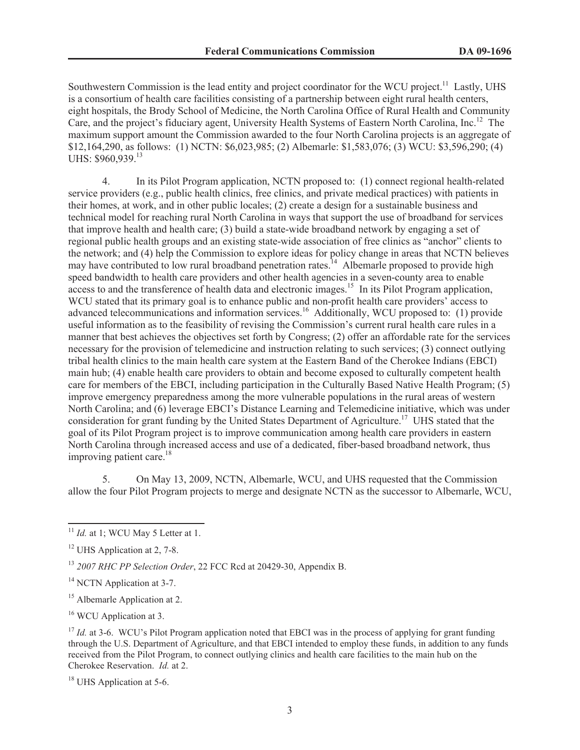Southwestern Commission is the lead entity and project coordinator for the WCU project.<sup>11</sup> Lastly, UHS is a consortium of health care facilities consisting of a partnership between eight rural health centers, eight hospitals, the Brody School of Medicine, the North Carolina Office of Rural Health and Community Care, and the project's fiduciary agent, University Health Systems of Eastern North Carolina, Inc.<sup>12</sup> The maximum support amount the Commission awarded to the four North Carolina projects is an aggregate of \$12,164,290, as follows: (1) NCTN: \$6,023,985; (2) Albemarle: \$1,583,076; (3) WCU: \$3,596,290; (4) UHS: \$960,939.<sup>13</sup>

4. In its Pilot Program application, NCTN proposed to: (1) connect regional health-related service providers (e.g., public health clinics, free clinics, and private medical practices) with patients in their homes, at work, and in other public locales; (2) create a design for a sustainable business and technical model for reaching rural North Carolina in ways that support the use of broadband for services that improve health and health care; (3) build a state-wide broadband network by engaging a set of regional public health groups and an existing state-wide association of free clinics as "anchor" clients to the network; and (4) help the Commission to explore ideas for policy change in areas that NCTN believes may have contributed to low rural broadband penetration rates.<sup>14</sup> Albemarle proposed to provide high speed bandwidth to health care providers and other health agencies in a seven-county area to enable access to and the transference of health data and electronic images.<sup>15</sup> In its Pilot Program application, WCU stated that its primary goal is to enhance public and non-profit health care providers' access to advanced telecommunications and information services.<sup>16</sup> Additionally, WCU proposed to: (1) provide useful information as to the feasibility of revising the Commission's current rural health care rules in a manner that best achieves the objectives set forth by Congress; (2) offer an affordable rate for the services necessary for the provision of telemedicine and instruction relating to such services; (3) connect outlying tribal health clinics to the main health care system at the Eastern Band of the Cherokee Indians (EBCI) main hub; (4) enable health care providers to obtain and become exposed to culturally competent health care for members of the EBCI, including participation in the Culturally Based Native Health Program; (5) improve emergency preparedness among the more vulnerable populations in the rural areas of western North Carolina; and (6) leverage EBCI's Distance Learning and Telemedicine initiative, which was under consideration for grant funding by the United States Department of Agriculture.<sup>17</sup> UHS stated that the goal of its Pilot Program project is to improve communication among health care providers in eastern North Carolina through increased access and use of a dedicated, fiber-based broadband network, thus improving patient care. $18$ 

5. On May 13, 2009, NCTN, Albemarle, WCU, and UHS requested that the Commission allow the four Pilot Program projects to merge and designate NCTN as the successor to Albemarle, WCU,

<sup>16</sup> WCU Application at 3.

<sup>18</sup> UHS Application at 5-6.

<sup>&</sup>lt;sup>11</sup> *Id.* at 1: WCU May 5 Letter at 1.

<sup>&</sup>lt;sup>12</sup> UHS Application at 2, 7-8.

<sup>13</sup> *2007 RHC PP Selection Order*, 22 FCC Rcd at 20429-30, Appendix B.

<sup>&</sup>lt;sup>14</sup> NCTN Application at 3-7.

<sup>&</sup>lt;sup>15</sup> Albemarle Application at 2.

<sup>&</sup>lt;sup>17</sup> *Id.* at 3-6. WCU's Pilot Program application noted that EBCI was in the process of applying for grant funding through the U.S. Department of Agriculture, and that EBCI intended to employ these funds, in addition to any funds received from the Pilot Program, to connect outlying clinics and health care facilities to the main hub on the Cherokee Reservation. *Id.* at 2.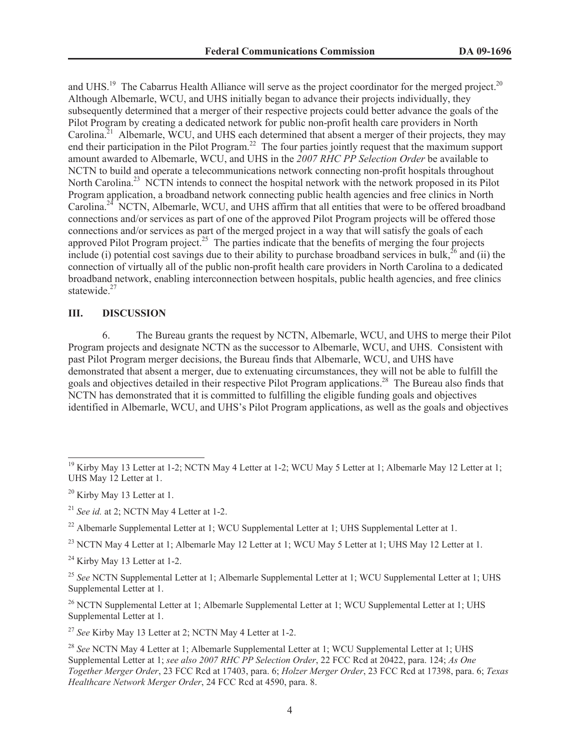and UHS.<sup>19</sup> The Cabarrus Health Alliance will serve as the project coordinator for the merged project.<sup>20</sup> Although Albemarle, WCU, and UHS initially began to advance their projects individually, they subsequently determined that a merger of their respective projects could better advance the goals of the Pilot Program by creating a dedicated network for public non-profit health care providers in North Carolina.<sup>21</sup> Albemarle, WCU, and UHS each determined that absent a merger of their projects, they may end their participation in the Pilot Program.<sup>22</sup> The four parties jointly request that the maximum support amount awarded to Albemarle, WCU, and UHS in the *2007 RHC PP Selection Order* be available to NCTN to build and operate a telecommunications network connecting non-profit hospitals throughout North Carolina.<sup>23</sup> NCTN intends to connect the hospital network with the network proposed in its Pilot Program application, a broadband network connecting public health agencies and free clinics in North Carolina.<sup>24</sup> NCTN, Albemarle, WCU, and UHS affirm that all entities that were to be offered broadband connections and/or services as part of one of the approved Pilot Program projects will be offered those connections and/or services as part of the merged project in a way that will satisfy the goals of each approved Pilot Program project.<sup>25</sup> The parties indicate that the benefits of merging the four projects include (i) potential cost savings due to their ability to purchase broadband services in bulk,<sup>26</sup> and (ii) the connection of virtually all of the public non-profit health care providers in North Carolina to a dedicated broadband network, enabling interconnection between hospitals, public health agencies, and free clinics statewide $^{27}$ 

## **III. DISCUSSION**

6. The Bureau grants the request by NCTN, Albemarle, WCU, and UHS to merge their Pilot Program projects and designate NCTN as the successor to Albemarle, WCU, and UHS. Consistent with past Pilot Program merger decisions, the Bureau finds that Albemarle, WCU, and UHS have demonstrated that absent a merger, due to extenuating circumstances, they will not be able to fulfill the goals and objectives detailed in their respective Pilot Program applications.<sup>28</sup> The Bureau also finds that NCTN has demonstrated that it is committed to fulfilling the eligible funding goals and objectives identified in Albemarle, WCU, and UHS's Pilot Program applications, as well as the goals and objectives

 $24$  Kirby May 13 Letter at 1-2.

<sup>27</sup> *See* Kirby May 13 Letter at 2; NCTN May 4 Letter at 1-2.

<sup>&</sup>lt;sup>19</sup> Kirby May 13 Letter at 1-2; NCTN May 4 Letter at 1-2; WCU May 5 Letter at 1; Albemarle May 12 Letter at 1; UHS May 12 Letter at 1.

 $20$  Kirby May 13 Letter at 1.

<sup>21</sup> *See id.* at 2; NCTN May 4 Letter at 1-2.

<sup>&</sup>lt;sup>22</sup> Albemarle Supplemental Letter at 1; WCU Supplemental Letter at 1; UHS Supplemental Letter at 1.

<sup>&</sup>lt;sup>23</sup> NCTN May 4 Letter at 1; Albemarle May 12 Letter at 1; WCU May 5 Letter at 1; UHS May 12 Letter at 1.

<sup>&</sup>lt;sup>25</sup> See NCTN Supplemental Letter at 1; Albemarle Supplemental Letter at 1; WCU Supplemental Letter at 1; UHS Supplemental Letter at 1.

 $^{26}$  NCTN Supplemental Letter at 1; Albemarle Supplemental Letter at 1; WCU Supplemental Letter at 1; UHS Supplemental Letter at 1.

<sup>&</sup>lt;sup>28</sup> See NCTN May 4 Letter at 1; Albemarle Supplemental Letter at 1; WCU Supplemental Letter at 1; UHS Supplemental Letter at 1; *see also 2007 RHC PP Selection Order*, 22 FCC Rcd at 20422, para. 124; *As One Together Merger Order*, 23 FCC Rcd at 17403, para. 6; *Holzer Merger Order*, 23 FCC Rcd at 17398, para. 6; *Texas Healthcare Network Merger Order*, 24 FCC Rcd at 4590, para. 8.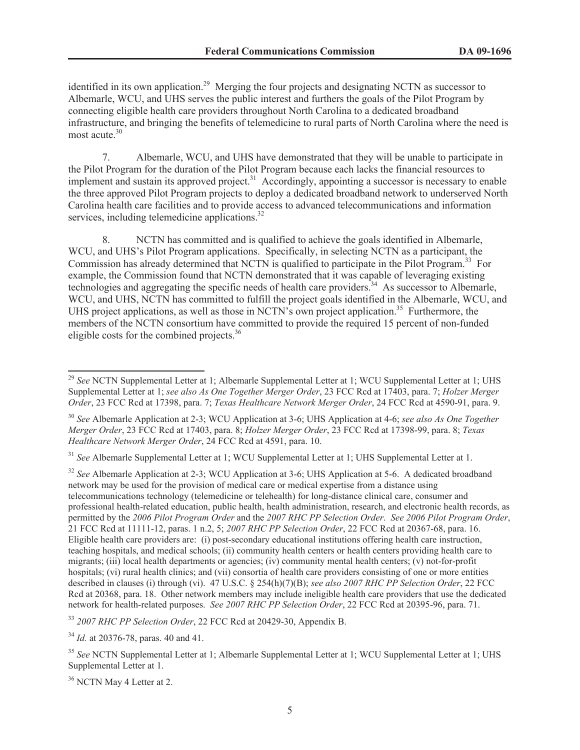identified in its own application.<sup>29</sup> Merging the four projects and designating NCTN as successor to Albemarle, WCU, and UHS serves the public interest and furthers the goals of the Pilot Program by connecting eligible health care providers throughout North Carolina to a dedicated broadband infrastructure, and bringing the benefits of telemedicine to rural parts of North Carolina where the need is most acute.<sup>30</sup>

7. Albemarle, WCU, and UHS have demonstrated that they will be unable to participate in the Pilot Program for the duration of the Pilot Program because each lacks the financial resources to implement and sustain its approved project.<sup>31</sup> Accordingly, appointing a successor is necessary to enable the three approved Pilot Program projects to deploy a dedicated broadband network to underserved North Carolina health care facilities and to provide access to advanced telecommunications and information services, including telemedicine applications.<sup>32</sup>

8. NCTN has committed and is qualified to achieve the goals identified in Albemarle, WCU, and UHS's Pilot Program applications. Specifically, in selecting NCTN as a participant, the Commission has already determined that NCTN is qualified to participate in the Pilot Program.<sup>33</sup> For example, the Commission found that NCTN demonstrated that it was capable of leveraging existing technologies and aggregating the specific needs of health care providers.<sup>34</sup> As successor to Albemarle, WCU, and UHS, NCTN has committed to fulfill the project goals identified in the Albemarle, WCU, and UHS project applications, as well as those in NCTN's own project application.<sup>35</sup> Furthermore, the members of the NCTN consortium have committed to provide the required 15 percent of non-funded eligible costs for the combined projects.<sup>36</sup>

<sup>31</sup> *See* Albemarle Supplemental Letter at 1; WCU Supplemental Letter at 1; UHS Supplemental Letter at 1.

<sup>32</sup> See Albemarle Application at 2-3; WCU Application at 3-6; UHS Application at 5-6. A dedicated broadband network may be used for the provision of medical care or medical expertise from a distance using telecommunications technology (telemedicine or telehealth) for long-distance clinical care, consumer and professional health-related education, public health, health administration, research, and electronic health records, as permitted by the *2006 Pilot Program Order* and the *2007 RHC PP Selection Order*. *See 2006 Pilot Program Order*, 21 FCC Rcd at 11111-12, paras. 1 n.2, 5; *2007 RHC PP Selection Order*, 22 FCC Rcd at 20367-68, para. 16. Eligible health care providers are: (i) post-secondary educational institutions offering health care instruction, teaching hospitals, and medical schools; (ii) community health centers or health centers providing health care to migrants; (iii) local health departments or agencies; (iv) community mental health centers; (v) not-for-profit hospitals; (vi) rural health clinics; and (vii) consortia of health care providers consisting of one or more entities described in clauses (i) through (vi). 47 U.S.C. § 254(h)(7)(B); *see also 2007 RHC PP Selection Order*, 22 FCC Rcd at 20368, para. 18. Other network members may include ineligible health care providers that use the dedicated network for health-related purposes. *See 2007 RHC PP Selection Order*, 22 FCC Rcd at 20395-96, para. 71.

<sup>33</sup> *2007 RHC PP Selection Order*, 22 FCC Rcd at 20429-30, Appendix B.

<sup>34</sup> *Id.* at 20376-78, paras. 40 and 41.

<sup>36</sup> NCTN May 4 Letter at 2.

<sup>&</sup>lt;sup>29</sup> See NCTN Supplemental Letter at 1; Albemarle Supplemental Letter at 1; WCU Supplemental Letter at 1; UHS Supplemental Letter at 1; *see also As One Together Merger Order*, 23 FCC Rcd at 17403, para. 7; *Holzer Merger Order*, 23 FCC Rcd at 17398, para. 7; *Texas Healthcare Network Merger Order*, 24 FCC Rcd at 4590-91, para. 9.

<sup>30</sup> *See* Albemarle Application at 2-3; WCU Application at 3-6; UHS Application at 4-6; *see also As One Together Merger Order*, 23 FCC Rcd at 17403, para. 8; *Holzer Merger Order*, 23 FCC Rcd at 17398-99, para. 8; *Texas Healthcare Network Merger Order*, 24 FCC Rcd at 4591, para. 10.

<sup>35</sup> *See* NCTN Supplemental Letter at 1; Albemarle Supplemental Letter at 1; WCU Supplemental Letter at 1; UHS Supplemental Letter at 1.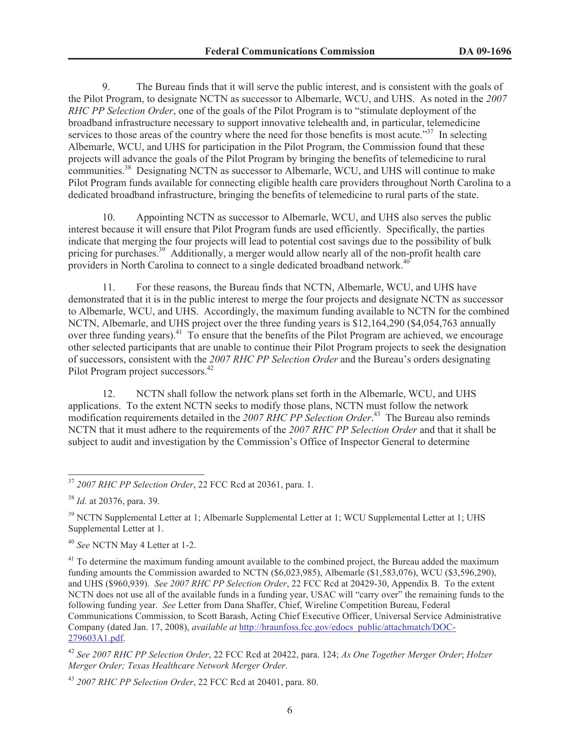9. The Bureau finds that it will serve the public interest, and is consistent with the goals of the Pilot Program, to designate NCTN as successor to Albemarle, WCU, and UHS. As noted in the *2007 RHC PP Selection Order*, one of the goals of the Pilot Program is to "stimulate deployment of the broadband infrastructure necessary to support innovative telehealth and, in particular, telemedicine services to those areas of the country where the need for those benefits is most acute."<sup>37</sup> In selecting Albemarle, WCU, and UHS for participation in the Pilot Program, the Commission found that these projects will advance the goals of the Pilot Program by bringing the benefits of telemedicine to rural communities.<sup>38</sup> Designating NCTN as successor to Albemarle, WCU, and UHS will continue to make Pilot Program funds available for connecting eligible health care providers throughout North Carolina to a dedicated broadband infrastructure, bringing the benefits of telemedicine to rural parts of the state.

10. Appointing NCTN as successor to Albemarle, WCU, and UHS also serves the public interest because it will ensure that Pilot Program funds are used efficiently. Specifically, the parties indicate that merging the four projects will lead to potential cost savings due to the possibility of bulk pricing for purchases.<sup>39</sup> Additionally, a merger would allow nearly all of the non-profit health care providers in North Carolina to connect to a single dedicated broadband network.<sup>40</sup>

11. For these reasons, the Bureau finds that NCTN, Albemarle, WCU, and UHS have demonstrated that it is in the public interest to merge the four projects and designate NCTN as successor to Albemarle, WCU, and UHS. Accordingly, the maximum funding available to NCTN for the combined NCTN, Albemarle, and UHS project over the three funding years is \$12,164,290 (\$4,054,763 annually over three funding years).<sup>41</sup> To ensure that the benefits of the Pilot Program are achieved, we encourage other selected participants that are unable to continue their Pilot Program projects to seek the designation of successors, consistent with the *2007 RHC PP Selection Order* and the Bureau's orders designating Pilot Program project successors.<sup>42</sup>

12. NCTN shall follow the network plans set forth in the Albemarle, WCU, and UHS applications. To the extent NCTN seeks to modify those plans, NCTN must follow the network modification requirements detailed in the *2007 RHC PP Selection Order*. <sup>43</sup> The Bureau also reminds NCTN that it must adhere to the requirements of the *2007 RHC PP Selection Order* and that it shall be subject to audit and investigation by the Commission's Office of Inspector General to determine

<sup>37</sup> *2007 RHC PP Selection Order*, 22 FCC Rcd at 20361, para. 1.

<sup>38</sup> *Id.* at 20376, para. 39.

<sup>&</sup>lt;sup>39</sup> NCTN Supplemental Letter at 1: Albemarle Supplemental Letter at 1; WCU Supplemental Letter at 1; UHS Supplemental Letter at 1.

<sup>40</sup> *See* NCTN May 4 Letter at 1-2.

<sup>&</sup>lt;sup>41</sup> To determine the maximum funding amount available to the combined project, the Bureau added the maximum funding amounts the Commission awarded to NCTN (\$6,023,985), Albemarle (\$1,583,076), WCU (\$3,596,290), and UHS (\$960,939). *See 2007 RHC PP Selection Order*, 22 FCC Rcd at 20429-30, Appendix B. To the extent NCTN does not use all of the available funds in a funding year, USAC will "carry over" the remaining funds to the following funding year. *See* Letter from Dana Shaffer, Chief, Wireline Competition Bureau, Federal Communications Commission, to Scott Barash, Acting Chief Executive Officer, Universal Service Administrative Company (dated Jan. 17, 2008), *available at* http://hraunfoss.fcc.gov/edocs\_public/attachmatch/DOC-279603A1.pdf.

<sup>42</sup> *See 2007 RHC PP Selection Order*, 22 FCC Rcd at 20422, para. 124; *As One Together Merger Order*; *Holzer Merger Order; Texas Healthcare Network Merger Order*.

<sup>43</sup> *2007 RHC PP Selection Order*, 22 FCC Rcd at 20401, para. 80.